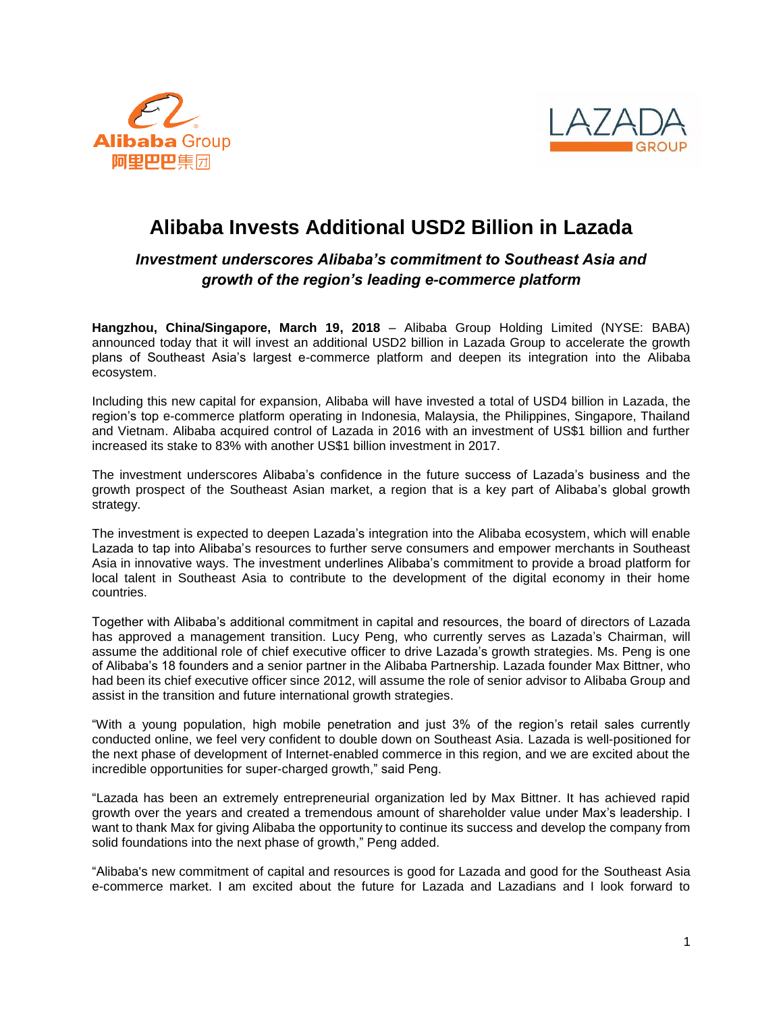



# **Alibaba Invests Additional USD2 Billion in Lazada**

## *Investment underscores Alibaba's commitment to Southeast Asia and growth of the region's leading e-commerce platform*

**Hangzhou, China/Singapore, March 19, 2018** – Alibaba Group Holding Limited (NYSE: BABA) announced today that it will invest an additional USD2 billion in Lazada Group to accelerate the growth plans of Southeast Asia's largest e-commerce platform and deepen its integration into the Alibaba ecosystem.

Including this new capital for expansion, Alibaba will have invested a total of USD4 billion in Lazada, the region's top e-commerce platform operating in Indonesia, Malaysia, the Philippines, Singapore, Thailand and Vietnam. Alibaba acquired control of Lazada in 2016 with an investment of US\$1 billion and further increased its stake to 83% with another US\$1 billion investment in 2017.

The investment underscores Alibaba's confidence in the future success of Lazada's business and the growth prospect of the Southeast Asian market, a region that is a key part of Alibaba's global growth strategy.

The investment is expected to deepen Lazada's integration into the Alibaba ecosystem, which will enable Lazada to tap into Alibaba's resources to further serve consumers and empower merchants in Southeast Asia in innovative ways. The investment underlines Alibaba's commitment to provide a broad platform for local talent in Southeast Asia to contribute to the development of the digital economy in their home countries.

Together with Alibaba's additional commitment in capital and resources, the board of directors of Lazada has approved a management transition. Lucy Peng, who currently serves as Lazada's Chairman, will assume the additional role of chief executive officer to drive Lazada's growth strategies. Ms. Peng is one of Alibaba's 18 founders and a senior partner in the Alibaba Partnership. Lazada founder Max Bittner, who had been its chief executive officer since 2012, will assume the role of senior advisor to Alibaba Group and assist in the transition and future international growth strategies.

"With a young population, high mobile penetration and just 3% of the region's retail sales currently conducted online, we feel very confident to double down on Southeast Asia. Lazada is well-positioned for the next phase of development of Internet-enabled commerce in this region, and we are excited about the incredible opportunities for super-charged growth," said Peng.

"Lazada has been an extremely entrepreneurial organization led by Max Bittner. It has achieved rapid growth over the years and created a tremendous amount of shareholder value under Max's leadership. I want to thank Max for giving Alibaba the opportunity to continue its success and develop the company from solid foundations into the next phase of growth," Peng added.

"Alibaba's new commitment of capital and resources is good for Lazada and good for the Southeast Asia e-commerce market. I am excited about the future for Lazada and Lazadians and I look forward to